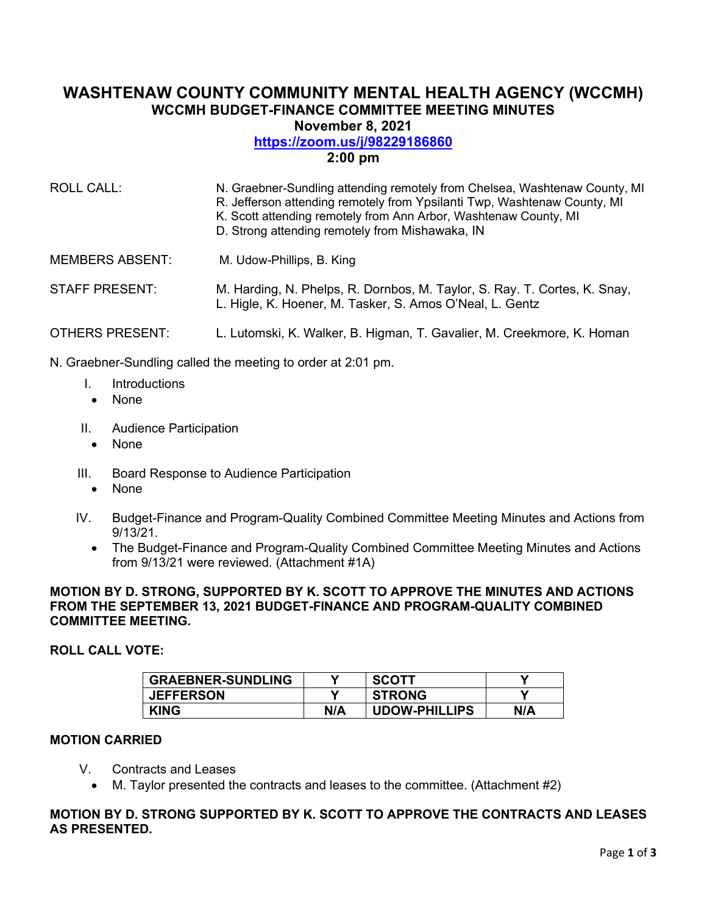# **WASHTENAW COUNTY COMMUNITY MENTAL HEALTH AGENCY (WCCMH) WCCMH BUDGET-FINANCE COMMITTEE MEETING MINUTES November 8, 2021**

# **<https://zoom.us/j/98229186860>**

# **2:00 pm**

| ROLL CALL:             | N. Graebner-Sundling attending remotely from Chelsea, Washtenaw County, MI<br>R. Jefferson attending remotely from Ypsilanti Twp, Washtenaw County, MI<br>K. Scott attending remotely from Ann Arbor, Washtenaw County, MI<br>D. Strong attending remotely from Mishawaka, IN |
|------------------------|-------------------------------------------------------------------------------------------------------------------------------------------------------------------------------------------------------------------------------------------------------------------------------|
| <b>MEMBERS ABSENT:</b> | M. Udow-Phillips, B. King                                                                                                                                                                                                                                                     |
| <b>STAFF PRESENT:</b>  | M. Harding, N. Phelps, R. Dornbos, M. Taylor, S. Ray. T. Cortes, K. Snay,<br>L. Higle, K. Hoener, M. Tasker, S. Amos O'Neal, L. Gentz                                                                                                                                         |
| <b>OTHERS PRESENT:</b> | L. Lutomski, K. Walker, B. Higman, T. Gavalier, M. Creekmore, K. Homan                                                                                                                                                                                                        |

N. Graebner-Sundling called the meeting to order at 2:01 pm.

- I. Introductions
- None
- II. Audience Participation
	- None
- III. Board Response to Audience Participation
	- None
- IV. Budget-Finance and Program-Quality Combined Committee Meeting Minutes and Actions from 9/13/21.
	- The Budget-Finance and Program-Quality Combined Committee Meeting Minutes and Actions from 9/13/21 were reviewed. (Attachment #1A)

#### **MOTION BY D. STRONG, SUPPORTED BY K. SCOTT TO APPROVE THE MINUTES AND ACTIONS FROM THE SEPTEMBER 13, 2021 BUDGET-FINANCE AND PROGRAM-QUALITY COMBINED COMMITTEE MEETING.**

# **ROLL CALL VOTE:**

| <b>GRAEBNER-SUNDLING</b> | v   | <b>SCOTT</b>         |     |
|--------------------------|-----|----------------------|-----|
| <b>JEFFERSON</b>         |     | <b>STRONG</b>        |     |
| <b>KING</b>              | N/A | <b>UDOW-PHILLIPS</b> | N/A |

#### **MOTION CARRIED**

- V. Contracts and Leases
	- M. Taylor presented the contracts and leases to the committee. (Attachment #2)

#### **MOTION BY D. STRONG SUPPORTED BY K. SCOTT TO APPROVE THE CONTRACTS AND LEASES AS PRESENTED.**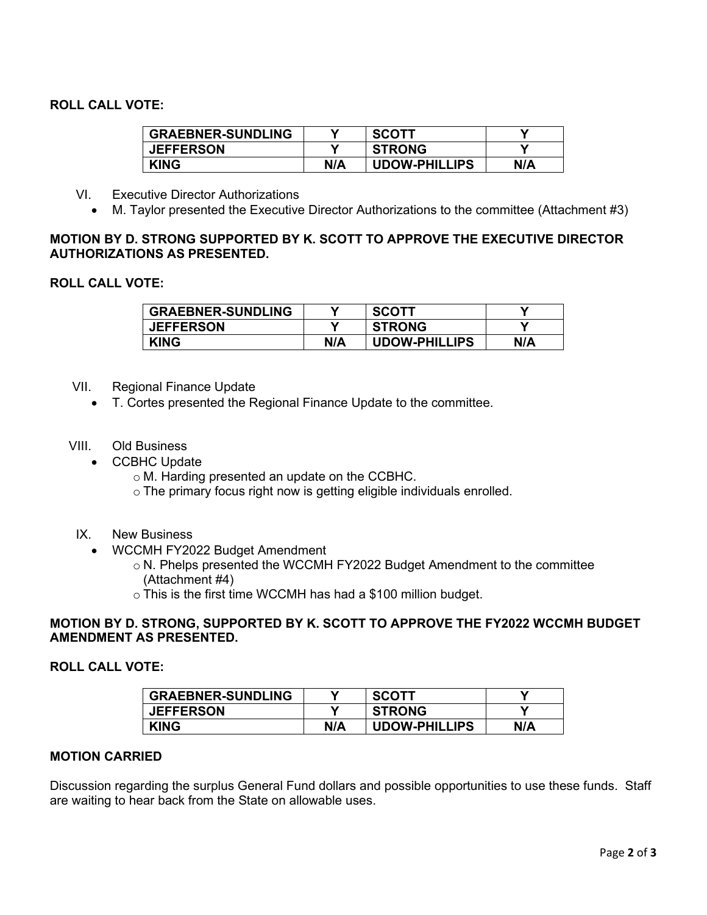# **ROLL CALL VOTE:**

| <b>GRAEBNER-SUNDLING</b> |     | <b>SCOTT</b>         |     |
|--------------------------|-----|----------------------|-----|
| <b>JEFFERSON</b>         |     | <b>STRONG</b>        |     |
| <b>KING</b>              | N/A | <b>UDOW-PHILLIPS</b> | N/A |

- VI. Executive Director Authorizations
	- M. Taylor presented the Executive Director Authorizations to the committee (Attachment #3)

#### **MOTION BY D. STRONG SUPPORTED BY K. SCOTT TO APPROVE THE EXECUTIVE DIRECTOR AUTHORIZATIONS AS PRESENTED.**

## **ROLL CALL VOTE:**

| <b>GRAEBNER-SUNDLING</b> | v   | <b>SCOTT</b>         |     |
|--------------------------|-----|----------------------|-----|
| <b>JEFFERSON</b>         | V   | <b>STRONG</b>        |     |
| <b>KING</b>              | N/A | <b>UDOW-PHILLIPS</b> | N/A |

#### VII. Regional Finance Update

- T. Cortes presented the Regional Finance Update to the committee.
- VIII. Old Business
	- CCBHC Update
		- o M. Harding presented an update on the CCBHC.
		- o The primary focus right now is getting eligible individuals enrolled.
- IX. New Business
	- WCCMH FY2022 Budget Amendment
		- o N. Phelps presented the WCCMH FY2022 Budget Amendment to the committee (Attachment #4)
		- o This is the first time WCCMH has had a \$100 million budget.

#### **MOTION BY D. STRONG, SUPPORTED BY K. SCOTT TO APPROVE THE FY2022 WCCMH BUDGET AMENDMENT AS PRESENTED.**

## **ROLL CALL VOTE:**

| <b>GRAEBNER-SUNDLING</b> |     | <b>SCOTT</b>         |     |
|--------------------------|-----|----------------------|-----|
| <b>JEFFERSON</b>         |     | <b>STRONG</b>        |     |
| <b>KING</b>              | N/A | <b>UDOW-PHILLIPS</b> | N/A |

# **MOTION CARRIED**

Discussion regarding the surplus General Fund dollars and possible opportunities to use these funds. Staff are waiting to hear back from the State on allowable uses.